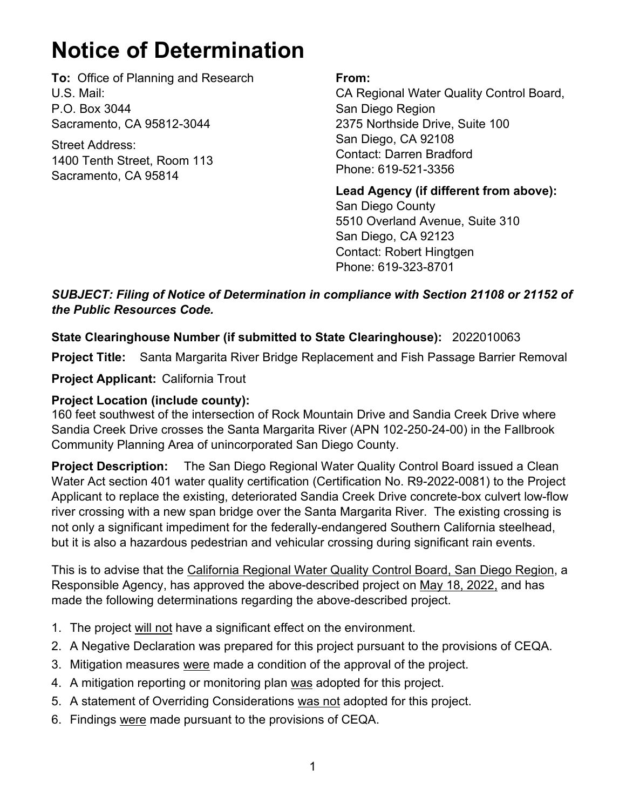## **Notice of Determination**

**To:** Office of Planning and Research U.S. Mail: P.O. Box 3044 Sacramento, CA 95812-3044

Street Address: 1400 Tenth Street, Room 113 Sacramento, CA 95814

## **From:**

CA Regional Water Quality Control Board, San Diego Region 2375 Northside Drive, Suite 100 San Diego, CA 92108 Contact: Darren Bradford Phone: 619-521-3356

**Lead Agency (if different from above):** San Diego County 5510 Overland Avenue, Suite 310 San Diego, CA 92123 Contact: Robert Hingtgen Phone: 619-323-8701

*SUBJECT: Filing of Notice of Determination in compliance with Section 21108 or 21152 of the Public Resources Code.*

## **State Clearinghouse Number (if submitted to State Clearinghouse):** 2022010063

**Project Title:** Santa Margarita River Bridge Replacement and Fish Passage Barrier Removal

**Project Applicant:** California Trout

## **Project Location (include county):**

160 feet southwest of the intersection of Rock Mountain Drive and Sandia Creek Drive where Sandia Creek Drive crosses the Santa Margarita River (APN 102-250-24-00) in the Fallbrook Community Planning Area of unincorporated San Diego County.

**Project Description:** The San Diego Regional Water Quality Control Board issued a Clean Water Act section 401 water quality certification (Certification No. R9-2022-0081) to the Project Applicant to replace the existing, deteriorated Sandia Creek Drive concrete-box culvert low-flow river crossing with a new span bridge over the Santa Margarita River. The existing crossing is not only a significant impediment for the federally-endangered Southern California steelhead, but it is also a hazardous pedestrian and vehicular crossing during significant rain events.

This is to advise that the California Regional Water Quality Control Board, San Diego Region, a Responsible Agency, has approved the above-described project on May 18, 2022, and has made the following determinations regarding the above-described project.

- 1. The project will not have a significant effect on the environment.
- 2. A Negative Declaration was prepared for this project pursuant to the provisions of CEQA.
- 3. Mitigation measures were made a condition of the approval of the project.
- 4. A mitigation reporting or monitoring plan was adopted for this project.
- 5. A statement of Overriding Considerations was not adopted for this project.
- 6. Findings were made pursuant to the provisions of CEQA.